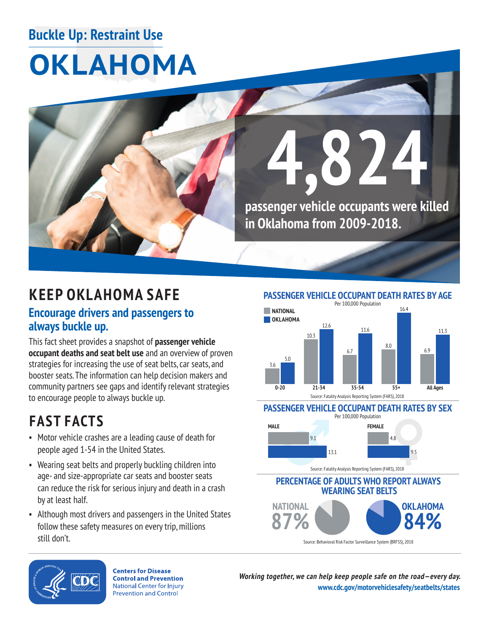### **Buckle Up: Restraint Use**

# **OKLAHOMA**



## **KEEP OKLAHOMA SAFE**

### **Encourage drivers and passengers to always buckle up.**

This fact sheet provides a snapshot of **passenger vehicle occupant deaths and seat belt use** and an overview of proven strategies for increasing the use of seat belts, car seats, and booster seats. The information can help decision makers and community partners see gaps and identify relevant strategies to encourage people to always buckle up.

## **FAST FACTS**

- Motor vehicle crashes are a leading cause of death for people aged 1-54 in the United States.
- Wearing seat belts and properly buckling children into age- and size-appropriate car seats and booster seats can reduce the risk for serious injury and death in a crash by at least half.
- • Although most drivers and passengers in the United States follow these safety measures on every trip, millions still don't.

**PASSENGER VEHICLE OCCUPANT DEATH RATES BY AGE** 



#### **PASSENGER VEHICLE OCCUPANT DEATH RATES BY SEX**  Per 100,000 Population



Source: Fatality Analysis Reporting System (FARS), 2018

**PERCENTAGE OF ADULTS WHO REPORT ALWAYS WEARING SEAT BELTS NATIONAL OKLAHOMA**   $\lambda 4\%$ 

Source: Behavioral Risk Factor Surveillance System (BRFSS), 2018



**Centers for Disease Control and Prevention National Center for Injury Prevention and Control** 

**Working together, we can help keep people safe on the road—every day. [www.cdc.gov/motorvehiclesafety/seatbelts/states](https://www.cdc.gov/motorvehiclesafety/seatbelts/states.html)**